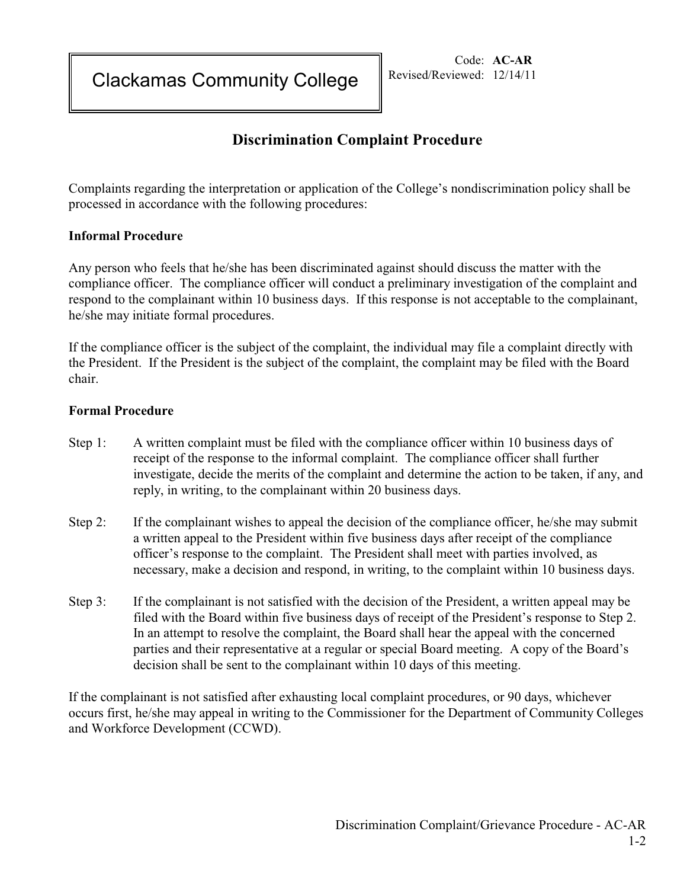Clackamas Community College

Code: **AC-AR** Revised/Reviewed: 12/14/11

## **Discrimination Complaint Procedure**

Complaints regarding the interpretation or application of the College's nondiscrimination policy shall be processed in accordance with the following procedures:

## **Informal Procedure**

Any person who feels that he/she has been discriminated against should discuss the matter with the compliance officer. The compliance officer will conduct a preliminary investigation of the complaint and respond to the complainant within 10 business days. If this response is not acceptable to the complainant, he/she may initiate formal procedures.

If the compliance officer is the subject of the complaint, the individual may file a complaint directly with the President. If the President is the subject of the complaint, the complaint may be filed with the Board chair.

## **Formal Procedure**

- Step 1: A written complaint must be filed with the compliance officer within 10 business days of receipt of the response to the informal complaint. The compliance officer shall further investigate, decide the merits of the complaint and determine the action to be taken, if any, and reply, in writing, to the complainant within 20 business days.
- Step 2: If the complainant wishes to appeal the decision of the compliance officer, he/she may submit a written appeal to the President within five business days after receipt of the compliance officer's response to the complaint. The President shall meet with parties involved, as necessary, make a decision and respond, in writing, to the complaint within 10 business days.
- Step 3: If the complainant is not satisfied with the decision of the President, a written appeal may be filed with the Board within five business days of receipt of the President's response to Step 2. In an attempt to resolve the complaint, the Board shall hear the appeal with the concerned parties and their representative at a regular or special Board meeting. A copy of the Board's decision shall be sent to the complainant within 10 days of this meeting.

If the complainant is not satisfied after exhausting local complaint procedures, or 90 days, whichever occurs first, he/she may appeal in writing to the Commissioner for the Department of Community Colleges and Workforce Development (CCWD).